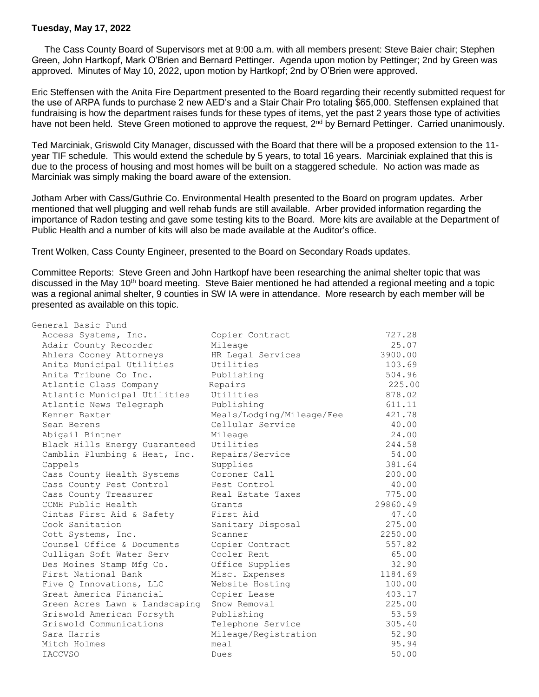## **Tuesday, May 17, 2022**

 The Cass County Board of Supervisors met at 9:00 a.m. with all members present: Steve Baier chair; Stephen Green, John Hartkopf, Mark O'Brien and Bernard Pettinger. Agenda upon motion by Pettinger; 2nd by Green was approved. Minutes of May 10, 2022, upon motion by Hartkopf; 2nd by O'Brien were approved.

Eric Steffensen with the Anita Fire Department presented to the Board regarding their recently submitted request for the use of ARPA funds to purchase 2 new AED's and a Stair Chair Pro totaling \$65,000. Steffensen explained that fundraising is how the department raises funds for these types of items, yet the past 2 years those type of activities have not been held. Steve Green motioned to approve the request, 2<sup>nd</sup> by Bernard Pettinger. Carried unanimously.

Ted Marciniak, Griswold City Manager, discussed with the Board that there will be a proposed extension to the 11 year TIF schedule. This would extend the schedule by 5 years, to total 16 years. Marciniak explained that this is due to the process of housing and most homes will be built on a staggered schedule. No action was made as Marciniak was simply making the board aware of the extension.

Jotham Arber with Cass/Guthrie Co. Environmental Health presented to the Board on program updates. Arber mentioned that well plugging and well rehab funds are still available. Arber provided information regarding the importance of Radon testing and gave some testing kits to the Board. More kits are available at the Department of Public Health and a number of kits will also be made available at the Auditor's office.

Trent Wolken, Cass County Engineer, presented to the Board on Secondary Roads updates.

Committee Reports: Steve Green and John Hartkopf have been researching the animal shelter topic that was discussed in the May 10<sup>th</sup> board meeting. Steve Baier mentioned he had attended a regional meeting and a topic was a regional animal shelter, 9 counties in SW IA were in attendance. More research by each member will be presented as available on this topic.

| General Basic Fund             |                           |          |
|--------------------------------|---------------------------|----------|
| Access Systems, Inc.           | Copier Contract           | 727.28   |
| Adair County Recorder          | Mileage                   | 25.07    |
| Ahlers Cooney Attorneys        | HR Legal Services         | 3900.00  |
| Anita Municipal Utilities      | Utilities                 | 103.69   |
| Anita Tribune Co Inc.          | Publishing                | 504.96   |
| Atlantic Glass Company         | Repairs                   | 225.00   |
| Atlantic Municipal Utilities   | Utilities                 | 878.02   |
| Atlantic News Telegraph        | Publishing                | 611.11   |
| Kenner Baxter                  | Meals/Lodging/Mileage/Fee | 421.78   |
| Sean Berens                    | Cellular Service          | 40.00    |
| Abigail Bintner                | Mileage                   | 24.00    |
| Black Hills Energy Guaranteed  | Utilities                 | 244.58   |
| Camblin Plumbing & Heat, Inc.  | Repairs/Service           | 54.00    |
| Cappels                        | Supplies                  | 381.64   |
| Cass County Health Systems     | Coroner Call              | 200.00   |
| Cass County Pest Control       | Pest Control              | 40.00    |
| Cass County Treasurer          | Real Estate Taxes         | 775.00   |
| CCMH Public Health             | Grants                    | 29860.49 |
| Cintas First Aid & Safety      | First Aid                 | 47.40    |
| Cook Sanitation                | Sanitary Disposal         | 275.00   |
| Cott Systems, Inc.             | Scanner                   | 2250.00  |
| Counsel Office & Documents     | Copier Contract           | 557.82   |
| Culligan Soft Water Serv       | Cooler Rent               | 65.00    |
| Des Moines Stamp Mfg Co.       | Office Supplies           | 32.90    |
| First National Bank            | Misc. Expenses            | 1184.69  |
| Five O Innovations, LLC        | Website Hosting           | 100.00   |
| Great America Financial        | Copier Lease              | 403.17   |
| Green Acres Lawn & Landscaping | Snow Removal              | 225.00   |
| Griswold American Forsyth      | Publishing                | 53.59    |
| Griswold Communications        | Telephone Service         | 305.40   |
| Sara Harris                    | Mileage/Registration      | 52.90    |
| Mitch Holmes                   | mean1                     | 95.94    |
| <b>IACCVSO</b>                 | Dues                      | 50.00    |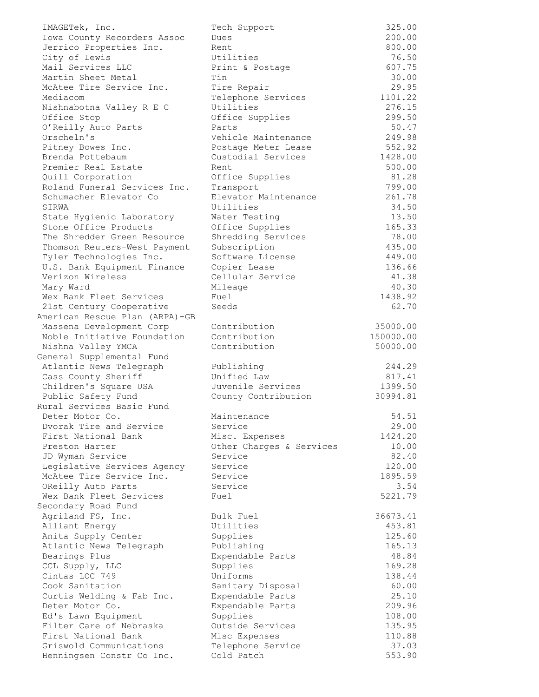| IMAGETek, Inc.                 | Tech Support             | 325.00    |
|--------------------------------|--------------------------|-----------|
| Iowa County Recorders Assoc    | Dues                     | 200.00    |
| Jerrico Properties Inc.        | Rent                     | 800.00    |
| City of Lewis                  | Utilities                | 76.50     |
| Mail Services LLC              | Print & Postage          | 607.75    |
| Martin Sheet Metal             | Tin                      | 30.00     |
| McAtee Tire Service Inc.       | Tire Repair              | 29.95     |
| Mediacom                       | Telephone Services       | 1101.22   |
| Nishnabotna Valley R E C       | Utilities                | 276.15    |
| Office Stop                    | Office Supplies          | 299.50    |
| O'Reilly Auto Parts            | Parts                    | 50.47     |
| Orscheln's                     | Vehicle Maintenance      | 249.98    |
| Pitney Bowes Inc.              | Postage Meter Lease      | 552.92    |
| Brenda Pottebaum               | Custodial Services       | 1428.00   |
| Premier Real Estate            | Rent                     | 500.00    |
| Quill Corporation              | Office Supplies          | 81.28     |
| Roland Funeral Services Inc.   | Transport                | 799.00    |
| Schumacher Elevator Co         | Elevator Maintenance     | 261.78    |
| SIRWA                          | Utilities                | 34.50     |
| State Hygienic Laboratory      | Water Testing            | 13.50     |
| Stone Office Products          | Office Supplies          | 165.33    |
| The Shredder Green Resource    | Shredding Services       | 78.00     |
| Thomson Reuters-West Payment   | Subscription             | 435.00    |
| Tyler Technologies Inc.        | Software License         | 449.00    |
| U.S. Bank Equipment Finance    | Copier Lease             | 136.66    |
| Verizon Wireless               | Cellular Service         | 41.38     |
| Mary Ward                      | Mileage                  | 40.30     |
| Wex Bank Fleet Services        | Fuel                     | 1438.92   |
| 21st Century Cooperative       | Seeds                    | 62.70     |
| American Rescue Plan (ARPA)-GB |                          |           |
| Massena Development Corp       | Contribution             | 35000.00  |
| Noble Initiative Foundation    | Contribution             | 150000.00 |
| Nishna Valley YMCA             | Contribution             | 50000.00  |
| General Supplemental Fund      |                          |           |
| Atlantic News Telegraph        | Publishing               | 244.29    |
| Cass County Sheriff            | Unified Law              | 817.41    |
| Children's Square USA          | Juvenile Services        | 1399.50   |
| Public Safety Fund             | County Contribution      | 30994.81  |
| Rural Services Basic Fund      |                          |           |
| Deter Motor Co.                | Maintenance              | 54.51     |
| Dvorak Tire and Service        | Service                  | 29.00     |
| First National Bank            | Misc. Expenses           | 1424.20   |
| Preston Harter                 | Other Charges & Services | 10.00     |
| JD Wyman Service               | Service                  | 82.40     |
| Legislative Services Agency    | Service                  | 120.00    |
| McAtee Tire Service Inc.       | Service                  | 1895.59   |
| OReilly Auto Parts             | Service                  | 3.54      |
| Wex Bank Fleet Services        | Fuel                     | 5221.79   |
| Secondary Road Fund            |                          |           |
| Agriland FS, Inc.              | Bulk Fuel                | 36673.41  |
| Alliant Energy                 | Utilities                | 453.81    |
| Anita Supply Center            | Supplies                 | 125.60    |
| Atlantic News Telegraph        | Publishing               | 165.13    |
| Bearings Plus                  | Expendable Parts         | 48.84     |
| CCL Supply, LLC                | Supplies                 | 169.28    |
| Cintas LOC 749                 | Uniforms                 | 138.44    |
| Cook Sanitation                | Sanitary Disposal        | 60.00     |
| Curtis Welding & Fab Inc.      | Expendable Parts         | 25.10     |
| Deter Motor Co.                | Expendable Parts         | 209.96    |
| Ed's Lawn Equipment            | Supplies                 | 108.00    |
| Filter Care of Nebraska        | Outside Services         | 135.95    |
| First National Bank            | Misc Expenses            | 110.88    |
| Griswold Communications        | Telephone Service        | 37.03     |
| Henningsen Constr Co Inc.      | Cold Patch               | 553.90    |